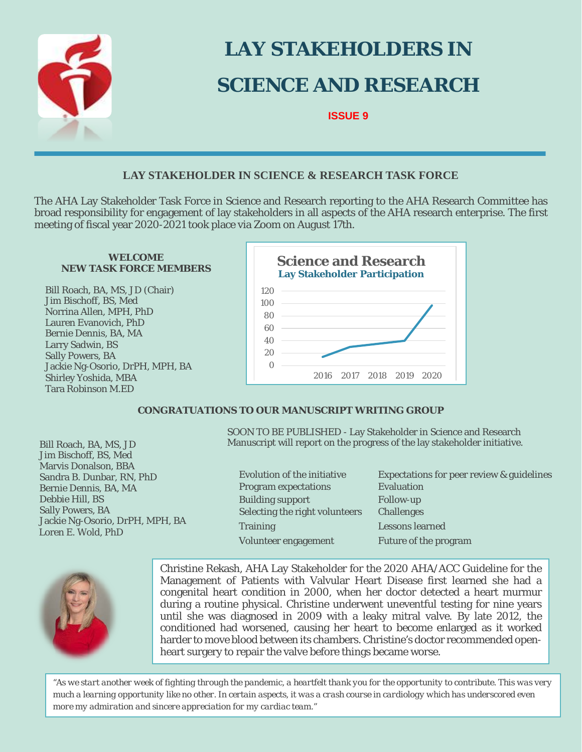

# **LAY STAKEHOLDERS IN SCIENCE AND RESEARCH**

**ISSUE 9**

## **LAY STAKEHOLDER IN SCIENCE & RESEARCH TASK FORCE**

The AHA Lay Stakeholder Task Force in Science and Research reporting to the AHA Research Committee has broad responsibility for engagement of lay stakeholders in all aspects of the AHA research enterprise. The first meeting of fiscal year 2020-2021 took place via Zoom on August 17th.

#### **WELCOME NEW TASK FORCE MEMBERS**

Bill Roach, BA, MS, JD (Chair) Jim Bischoff, BS, Med Norrina Allen, MPH, PhD Lauren Evanovich, PhD Bernie Dennis, BA, MA Larry Sadwin, BS Sally Powers, BA Jackie Ng-Osorio, DrPH, MPH, BA Shirley Yoshida, MBA Tara Robinson M.ED



### **CONGRATUATIONS TO OUR MANUSCRIPT WRITING GROUP**

 Loren E. Wold, PhD Bill Roach, BA, MS, JD Jim Bischoff, BS, Med Marvis Donalson, BBA Sandra B. Dunbar, RN, PhD Bernie Dennis, BA, MA Debbie Hill, BS Sally Powers, BA Jackie Ng-Osorio, DrPH, MPH, BA SOON TO BE PUBLISHED - Lay Stakeholder in Science and Research Manuscript will report on the progress of the lay stakeholder initiative.

Program expectations Evaluation Building support Follow-up Selecting the right volunteers Challenges Training Lessons learned Volunteer engagement Future of the program

Evolution of the initiative Expectations for peer review & guidelines



Christine Rekash, AHA Lay Stakeholder for the 2020 AHA/ACC Guideline for the Management of Patients with Valvular Heart Disease first learned she had a congenital heart condition in 2000, when her doctor detected a heart murmur during a routine physical. Christine underwent uneventful testing for nine years until she was diagnosed in 2009 with a leaky mitral valve. By late 2012, the conditioned had worsened, causing her heart to become enlarged as it worked harder to move blood between its chambers. Christine's doctor recommended openheart surgery to repair the valve before things became worse.

*"As we start another week of fighting through the pandemic, a heartfelt thank you for the opportunity to contribute. This was very much a learning opportunity like no other. In certain aspects, it was a crash course in cardiology which has underscored even more my admiration and sincere appreciation for my cardiac team."*